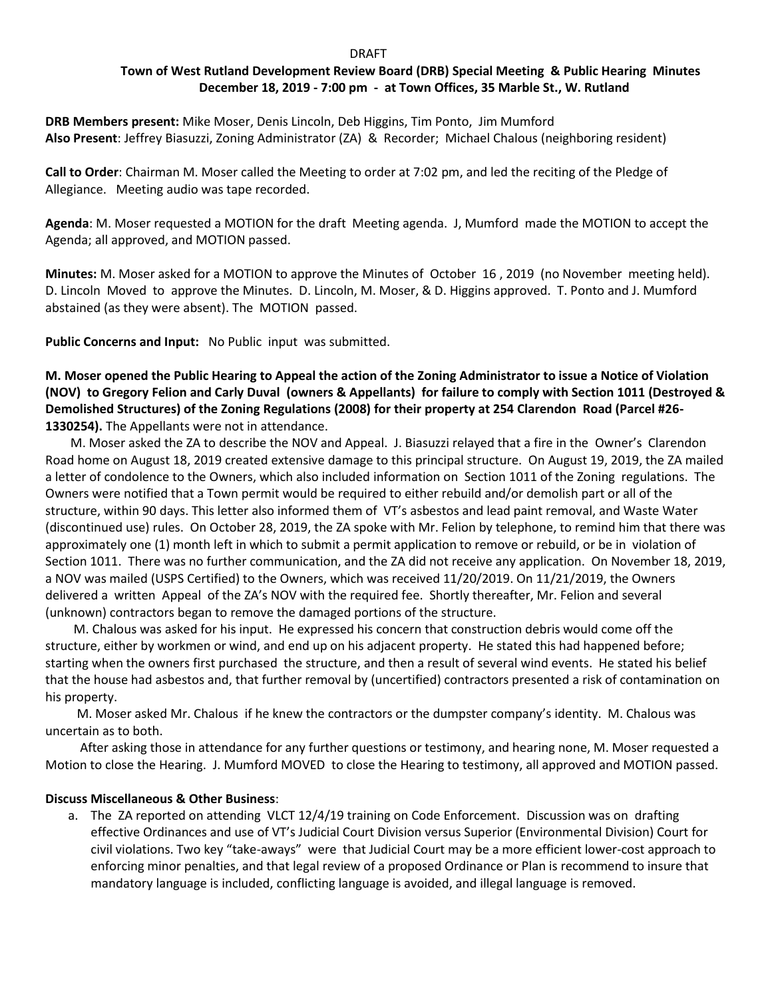### **Example 2018** 2019 12:30 DRAFT

# **Town of West Rutland Development Review Board (DRB) Special Meeting & Public Hearing Minutes December 18, 2019 - 7:00 pm - at Town Offices, 35 Marble St., W. Rutland**

**DRB Members present:** Mike Moser, Denis Lincoln, Deb Higgins, Tim Ponto, Jim Mumford **Also Present**: Jeffrey Biasuzzi, Zoning Administrator (ZA) & Recorder; Michael Chalous (neighboring resident)

**Call to Order**: Chairman M. Moser called the Meeting to order at 7:02 pm, and led the reciting of the Pledge of Allegiance. Meeting audio was tape recorded.

**Agenda**: M. Moser requested a MOTION for the draft Meeting agenda. J, Mumford made the MOTION to accept the Agenda; all approved, and MOTION passed.

**Minutes:** M. Moser asked for a MOTION to approve the Minutes of October 16 , 2019(no November meeting held). D. Lincoln Moved to approve the Minutes. D. Lincoln, M. Moser, & D. Higgins approved. T. Ponto and J. Mumford abstained (as they were absent). The MOTION passed.

**Public Concerns and Input:** No Public input was submitted.

**M. Moser opened the Public Hearing to Appeal the action of the Zoning Administrator to issue a Notice of Violation (NOV) to Gregory Felion and Carly Duval (owners & Appellants) for failure to comply with Section 1011 (Destroyed & Demolished Structures) of the Zoning Regulations (2008) for their property at 254 Clarendon Road (Parcel #26- 1330254).** The Appellants were not in attendance.

 M. Moser asked the ZA to describe the NOV and Appeal. J. Biasuzzi relayed that a fire in the Owner's Clarendon Road home on August 18, 2019 created extensive damage to this principal structure. On August 19, 2019, the ZA mailed a letter of condolence to the Owners, which also included information on Section 1011 of the Zoning regulations. The Owners were notified that a Town permit would be required to either rebuild and/or demolish part or all of the structure, within 90 days. This letter also informed them of VT's asbestos and lead paint removal, and Waste Water (discontinued use) rules. On October 28, 2019, the ZA spoke with Mr. Felion by telephone, to remind him that there was approximately one (1) month left in which to submit a permit application to remove or rebuild, or be in violation of Section 1011. There was no further communication, and the ZA did not receive any application. On November 18, 2019, a NOV was mailed (USPS Certified) to the Owners, which was received 11/20/2019. On 11/21/2019, the Owners delivered a written Appeal of the ZA's NOV with the required fee. Shortly thereafter, Mr. Felion and several (unknown) contractors began to remove the damaged portions of the structure.

 M. Chalous was asked for his input. He expressed his concern that construction debris would come off the structure, either by workmen or wind, and end up on his adjacent property. He stated this had happened before; starting when the owners first purchased the structure, and then a result of several wind events. He stated his belief that the house had asbestos and, that further removal by (uncertified) contractors presented a risk of contamination on his property.

 M. Moser asked Mr. Chalous if he knew the contractors or the dumpster company's identity. M. Chalous was uncertain as to both.

 After asking those in attendance for any further questions or testimony, and hearing none, M. Moser requested a Motion to close the Hearing. J. Mumford MOVED to close the Hearing to testimony, all approved and MOTION passed.

## **Discuss Miscellaneous & Other Business**:

a. The ZA reported on attending VLCT 12/4/19 training on Code Enforcement. Discussion was on drafting effective Ordinances and use of VT's Judicial Court Division versus Superior (Environmental Division) Court for civil violations. Two key "take-aways" were that Judicial Court may be a more efficient lower-cost approach to enforcing minor penalties, and that legal review of a proposed Ordinance or Plan is recommend to insure that mandatory language is included, conflicting language is avoided, and illegal language is removed.